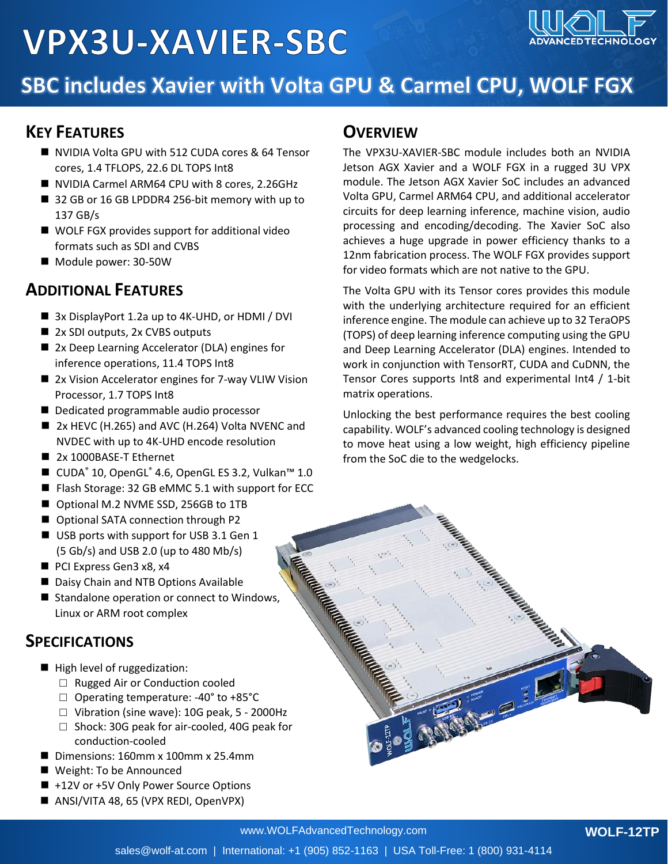# **VPX3U-XAVIER-SBC**



### SBC includes Xavier with Volta GPU & Carmel CPU, WOLF FGX

#### **KEY FEATURES**

- NVIDIA Volta GPU with 512 CUDA cores & 64 Tensor cores, 1.4 TFLOPS, 22.6 DL TOPS Int8
- NVIDIA Carmel ARM64 CPU with 8 cores, 2.26GHz
- 32 GB or 16 GB LPDDR4 256-bit memory with up to 137 GB/s
- WOLF FGX provides support for additional video formats such as SDI and CVBS
- Module power: 30-50W

#### **ADDITIONAL FEATURES**

- 3x DisplayPort 1.2a up to 4K-UHD, or HDMI / DVI
- 2x SDI outputs, 2x CVBS outputs
- 2x Deep Learning Accelerator (DLA) engines for inference operations, 11.4 TOPS Int8
- 2x Vision Accelerator engines for 7-way VLIW Vision Processor, 1.7 TOPS Int8
- Dedicated programmable audio processor
- 2x HEVC (H.265) and AVC (H.264) Volta NVENC and NVDEC with up to 4K-UHD encode resolution
- 2x 1000BASE-T Ethernet
- CUDA® 10, OpenGL® 4.6, OpenGL ES 3.2, Vulkan™ 1.0
- Flash Storage: 32 GB eMMC 5.1 with support for ECC
- Optional M.2 NVME SSD, 256GB to 1TB
- Optional SATA connection through P2
- USB ports with support for USB 3.1 Gen 1 (5 Gb/s) and USB 2.0 (up to 480 Mb/s)
- PCI Express Gen3 x8, x4
- Daisy Chain and NTB Options Available
- Standalone operation or connect to Windows, Linux or ARM root complex

#### **SPECIFICATIONS**

- High level of ruggedization:
	- □ Rugged Air or Conduction cooled
	- □ Operating temperature: -40° to +85°C
	- □ Vibration (sine wave): 10G peak, 5 2000Hz
	- □ Shock: 30G peak for air-cooled, 40G peak for conduction-cooled
- Dimensions: 160mm x 100mm x 25.4mm
- Weight: To be Announced
- +12V or +5V Only Power Source Options
- ANSI/VITA 48, 65 (VPX REDI, OpenVPX)

#### **OVERVIEW**

The VPX3U-XAVIER-SBC module includes both an NVIDIA Jetson AGX Xavier and a WOLF FGX in a rugged 3U VPX module. The Jetson AGX Xavier SoC includes an advanced Volta GPU, Carmel ARM64 CPU, and additional accelerator circuits for deep learning inference, machine vision, audio processing and encoding/decoding. The Xavier SoC also achieves a huge upgrade in power efficiency thanks to a 12nm fabrication process. The WOLF FGX provides support for video formats which are not native to the GPU.

The Volta GPU with its Tensor cores provides this module with the underlying architecture required for an efficient inference engine. The module can achieve up to 32 TeraOPS (TOPS) of deep learning inference computing using the GPU and Deep Learning Accelerator (DLA) engines. Intended to work in conjunction with TensorRT, CUDA and CuDNN, the Tensor Cores supports Int8 and experimental Int4 / 1-bit matrix operations.

Unlocking the best performance requires the best cooling capability. WOLF's advanced cooling technology is designed to move heat using a low weight, high efficiency pipeline from the SoC die to the wedgelocks.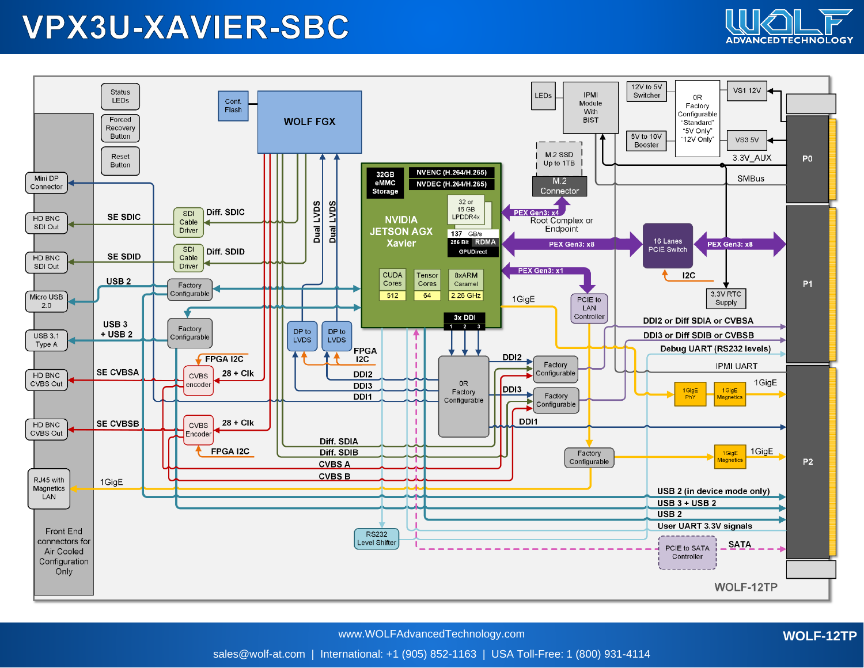### **VPX3U-XAVIER-SBC**





www.WOLFAdvancedTechnology.com

**WOLF-12TP**

sales@wolf-at.com | International: +1 (905) 852-1163 | USA Toll-Free: 1 (800) 931-4114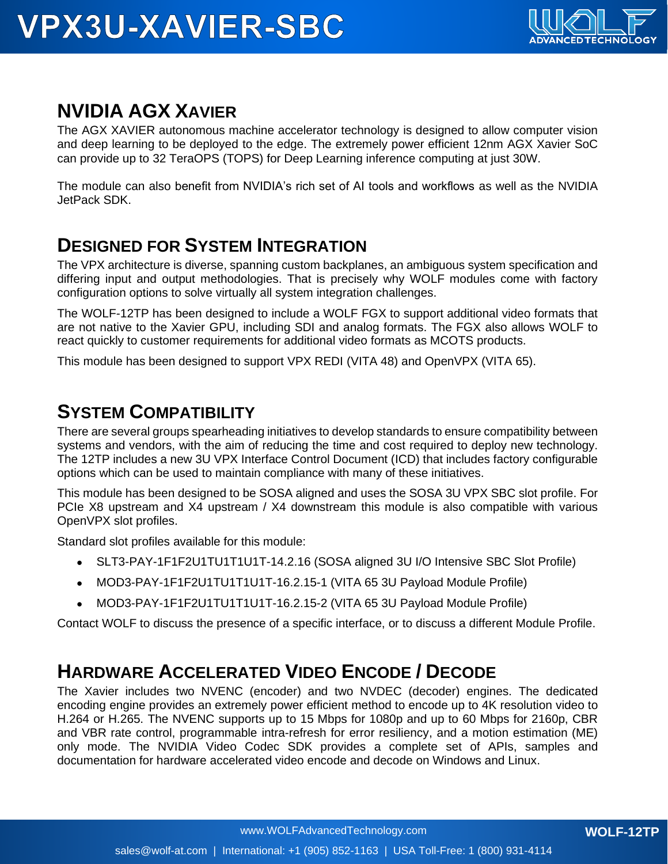

### **NVIDIA AGX XAVIER**

The AGX XAVIER autonomous machine accelerator technology is designed to allow computer vision and deep learning to be deployed to the edge. The extremely power efficient 12nm AGX Xavier SoC can provide up to 32 TeraOPS (TOPS) for Deep Learning inference computing at just 30W.

The module can also benefit from NVIDIA's rich set of AI tools and workflows as well as the NVIDIA JetPack SDK.

#### **DESIGNED FOR SYSTEM INTEGRATION**

The VPX architecture is diverse, spanning custom backplanes, an ambiguous system specification and differing input and output methodologies. That is precisely why WOLF modules come with factory configuration options to solve virtually all system integration challenges.

The WOLF-12TP has been designed to include a WOLF FGX to support additional video formats that are not native to the Xavier GPU, including SDI and analog formats. The FGX also allows WOLF to react quickly to customer requirements for additional video formats as MCOTS products.

This module has been designed to support VPX REDI (VITA 48) and OpenVPX (VITA 65).

#### **SYSTEM COMPATIBILITY**

There are several groups spearheading initiatives to develop standards to ensure compatibility between systems and vendors, with the aim of reducing the time and cost required to deploy new technology. The 12TP includes a new 3U VPX Interface Control Document (ICD) that includes factory configurable options which can be used to maintain compliance with many of these initiatives.

This module has been designed to be SOSA aligned and uses the SOSA 3U VPX SBC slot profile. For PCIe X8 upstream and X4 upstream / X4 downstream this module is also compatible with various OpenVPX slot profiles.

Standard slot profiles available for this module:

- SLT3-PAY-1F1F2U1TU1T1U1T-14.2.16 (SOSA aligned 3U I/O Intensive SBC Slot Profile)
- MOD3-PAY-1F1F2U1TU1T1U1T-16.2.15-1 (VITA 65 3U Payload Module Profile)
- MOD3-PAY-1F1F2U1TU1T1U1T-16.2.15-2 (VITA 65 3U Payload Module Profile)

Contact WOLF to discuss the presence of a specific interface, or to discuss a different Module Profile.

### **HARDWARE ACCELERATED VIDEO ENCODE / DECODE**

The Xavier includes two NVENC (encoder) and two NVDEC (decoder) engines. The dedicated encoding engine provides an extremely power efficient method to encode up to 4K resolution video to H.264 or H.265. The NVENC supports up to 15 Mbps for 1080p and up to 60 Mbps for 2160p, CBR and VBR rate control, programmable intra-refresh for error resiliency, and a motion estimation (ME) only mode. The NVIDIA Video Codec SDK provides a complete set of APIs, samples and documentation for hardware accelerated video encode and decode on Windows and Linux.